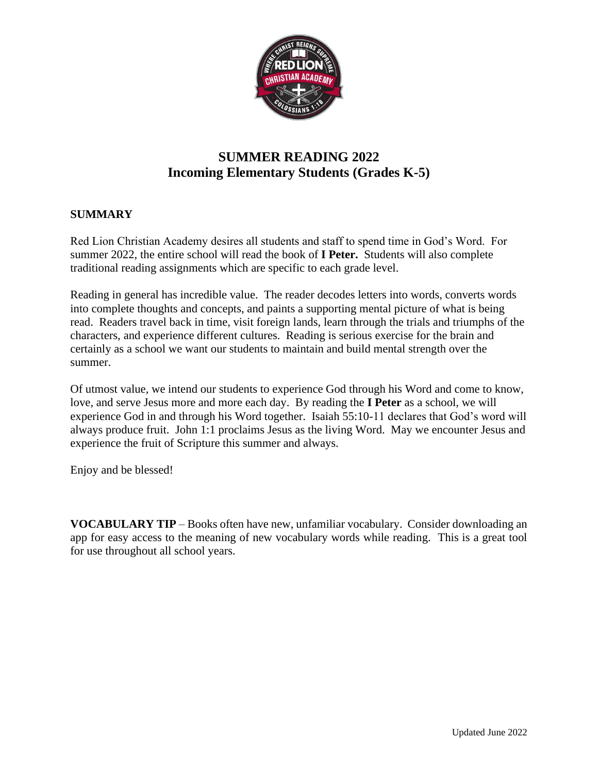

# **SUMMER READING 2022 Incoming Elementary Students (Grades K-5)**

## **SUMMARY**

Red Lion Christian Academy desires all students and staff to spend time in God's Word. For summer 2022, the entire school will read the book of **I Peter.** Students will also complete traditional reading assignments which are specific to each grade level.

Reading in general has incredible value. The reader decodes letters into words, converts words into complete thoughts and concepts, and paints a supporting mental picture of what is being read. Readers travel back in time, visit foreign lands, learn through the trials and triumphs of the characters, and experience different cultures. Reading is serious exercise for the brain and certainly as a school we want our students to maintain and build mental strength over the summer.

Of utmost value, we intend our students to experience God through his Word and come to know, love, and serve Jesus more and more each day. By reading the **I Peter** as a school, we will experience God in and through his Word together. Isaiah 55:10-11 declares that God's word will always produce fruit. John 1:1 proclaims Jesus as the living Word. May we encounter Jesus and experience the fruit of Scripture this summer and always.

Enjoy and be blessed!

**VOCABULARY TIP** – Books often have new, unfamiliar vocabulary. Consider downloading an app for easy access to the meaning of new vocabulary words while reading. This is a great tool for use throughout all school years.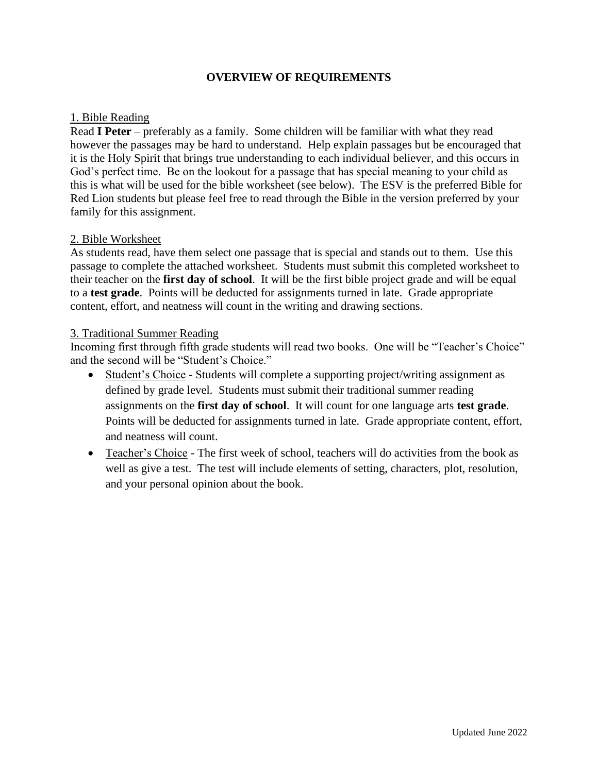## **OVERVIEW OF REQUIREMENTS**

### 1. Bible Reading

Read **I Peter** – preferably as a family. Some children will be familiar with what they read however the passages may be hard to understand. Help explain passages but be encouraged that it is the Holy Spirit that brings true understanding to each individual believer, and this occurs in God's perfect time. Be on the lookout for a passage that has special meaning to your child as this is what will be used for the bible worksheet (see below). The ESV is the preferred Bible for Red Lion students but please feel free to read through the Bible in the version preferred by your family for this assignment.

### 2. Bible Worksheet

As students read, have them select one passage that is special and stands out to them. Use this passage to complete the attached worksheet. Students must submit this completed worksheet to their teacher on the **first day of school**. It will be the first bible project grade and will be equal to a **test grade**. Points will be deducted for assignments turned in late. Grade appropriate content, effort, and neatness will count in the writing and drawing sections.

### 3. Traditional Summer Reading

Incoming first through fifth grade students will read two books. One will be "Teacher's Choice" and the second will be "Student's Choice."

- Student's Choice Students will complete a supporting project/writing assignment as defined by grade level. Students must submit their traditional summer reading assignments on the **first day of school**. It will count for one language arts **test grade**. Points will be deducted for assignments turned in late. Grade appropriate content, effort, and neatness will count.
- Teacher's Choice The first week of school, teachers will do activities from the book as well as give a test. The test will include elements of setting, characters, plot, resolution, and your personal opinion about the book.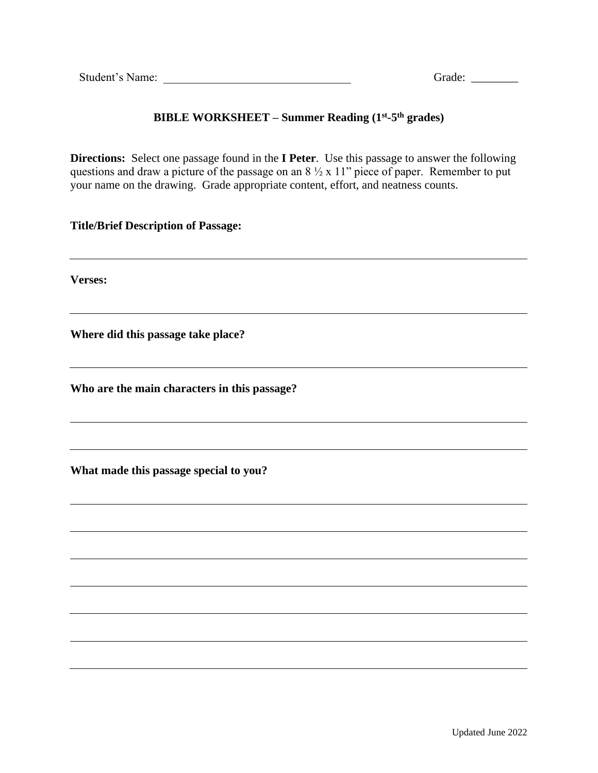## **BIBLE WORKSHEET – Summer Reading (1st -5 th grades)**

**Directions:** Select one passage found in the **I Peter**. Use this passage to answer the following questions and draw a picture of the passage on an 8 ½ x 11" piece of paper. Remember to put your name on the drawing. Grade appropriate content, effort, and neatness counts.

### **Title/Brief Description of Passage:**

**Verses:** 

**Where did this passage take place?** 

**Who are the main characters in this passage?**

**What made this passage special to you?**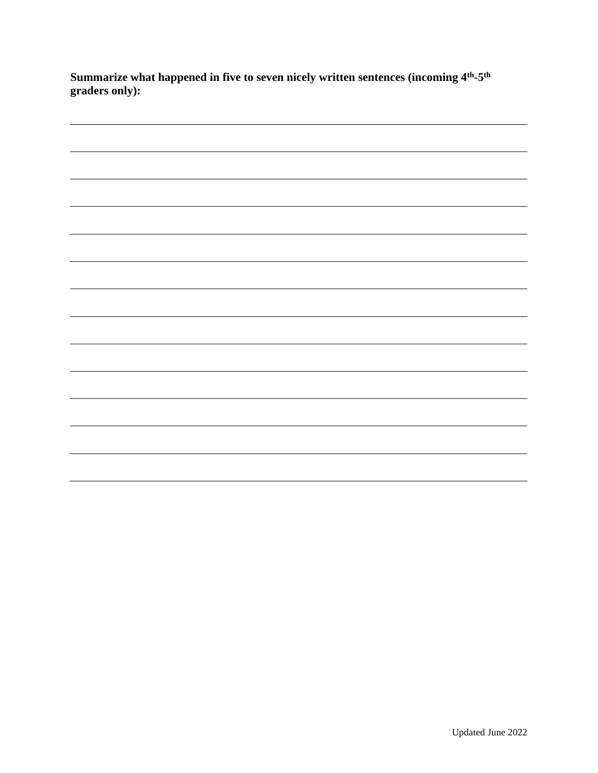**Summarize what happened in five to seven nicely written sentences (incoming 4th -5 th graders only):**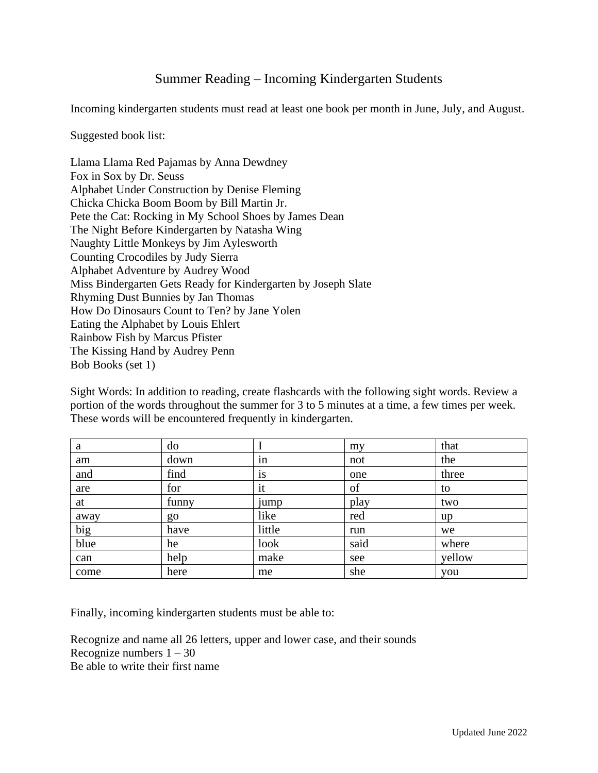## Summer Reading – Incoming Kindergarten Students

Incoming kindergarten students must read at least one book per month in June, July, and August.

#### Suggested book list:

Llama Llama Red Pajamas by Anna Dewdney Fox in Sox by Dr. Seuss Alphabet Under Construction by Denise Fleming Chicka Chicka Boom Boom by Bill Martin Jr. Pete the Cat: Rocking in My School Shoes by James Dean The Night Before Kindergarten by Natasha Wing Naughty Little Monkeys by Jim Aylesworth Counting Crocodiles by Judy Sierra Alphabet Adventure by Audrey Wood Miss Bindergarten Gets Ready for Kindergarten by Joseph Slate Rhyming Dust Bunnies by Jan Thomas How Do Dinosaurs Count to Ten? by Jane Yolen Eating the Alphabet by Louis Ehlert Rainbow Fish by Marcus Pfister The Kissing Hand by Audrey Penn Bob Books (set 1)

Sight Words: In addition to reading, create flashcards with the following sight words. Review a portion of the words throughout the summer for 3 to 5 minutes at a time, a few times per week. These words will be encountered frequently in kindergarten.

| a    | do    |        | my   | that   |
|------|-------|--------|------|--------|
| am   | down  | in     | not  | the    |
| and  | find  | 1S     | one  | three  |
| are  | for   | it     | of   | to     |
| at   | funny | jump   | play | two    |
| away | go    | like   | red  | up     |
| big  | have  | little | run  | we     |
| blue | he    | look   | said | where  |
| can  | help  | make   | see  | yellow |
| come | here  | me     | she  | you    |

Finally, incoming kindergarten students must be able to:

Recognize and name all 26 letters, upper and lower case, and their sounds Recognize numbers  $1 - 30$ Be able to write their first name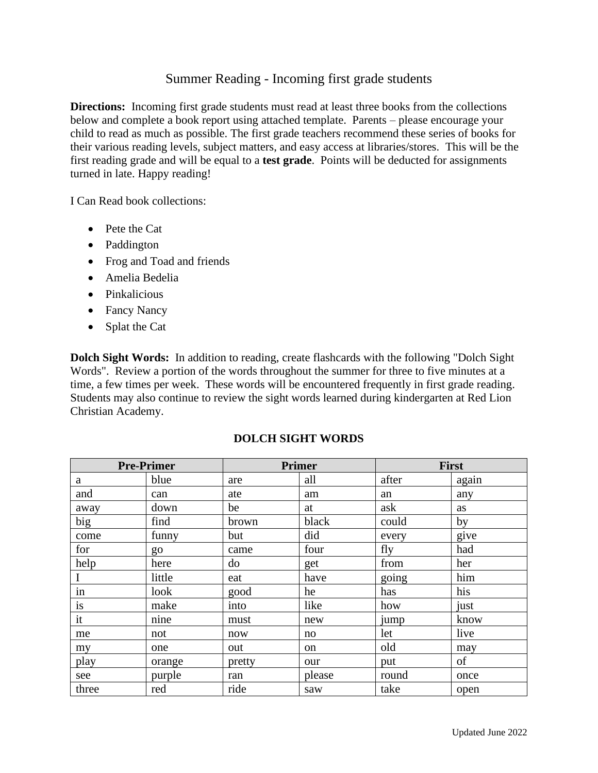## Summer Reading - Incoming first grade students

**Directions:** Incoming first grade students must read at least three books from the collections below and complete a book report using attached template. Parents – please encourage your child to read as much as possible. The first grade teachers recommend these series of books for their various reading levels, subject matters, and easy access at libraries/stores. This will be the first reading grade and will be equal to a **test grade**. Points will be deducted for assignments turned in late. Happy reading!

I Can Read book collections:

- Pete the Cat
- Paddington
- Frog and Toad and friends
- Amelia Bedelia
- Pinkalicious
- Fancy Nancy
- Splat the Cat

**Dolch Sight Words:** In addition to reading, create flashcards with the following "Dolch Sight Words". Review a portion of the words throughout the summer for three to five minutes at a time, a few times per week. These words will be encountered frequently in first grade reading. Students may also continue to review the sight words learned during kindergarten at Red Lion Christian Academy.

| <b>Pre-Primer</b> |        |        | <b>Primer</b> | <b>First</b> |       |
|-------------------|--------|--------|---------------|--------------|-------|
| a                 | blue   | are    | all           | after        | again |
| and               | can    | ate    | am            | an           | any   |
| away              | down   | be     | at            | ask          | as    |
| big               | find   | brown  | black         | could        | by    |
| come              | funny  | but    | did           | every        | give  |
| for               | go     | came   | four          | fly          | had   |
| help              | here   | do     | get           | from         | her   |
|                   | little | eat    | have          | going        | him   |
| in                | look   | good   | he            | has          | his   |
| is                | make   | into   | like          | how          | just  |
| it                | nine   | must   | new           | jump         | know  |
| me                | not    | now    | no            | let          | live  |
| my                | one    | out    | on            | old          | may   |
| play              | orange | pretty | our           | put          | of    |
| see               | purple | ran    | please        | round        | once  |
| three             | red    | ride   | saw           | take         | open  |

## **DOLCH SIGHT WORDS**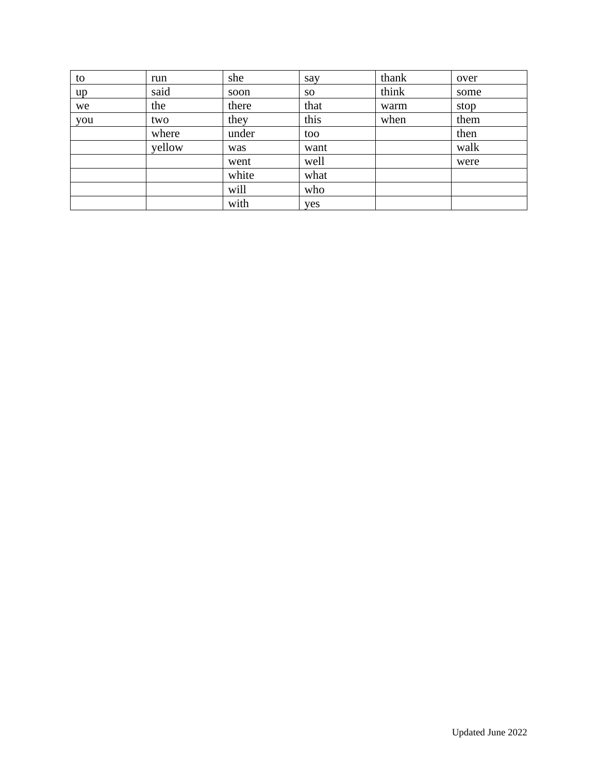| to  | run    | she   | say  | thank | over |
|-----|--------|-------|------|-------|------|
| up  | said   | soon  | SO.  | think | some |
| we  | the    | there | that | warm  | stop |
| you | two    | they  | this | when  | them |
|     | where  | under | too  |       | then |
|     | yellow | was   | want |       | walk |
|     |        | went  | well |       | were |
|     |        | white | what |       |      |
|     |        | will  | who  |       |      |
|     |        | with  | yes  |       |      |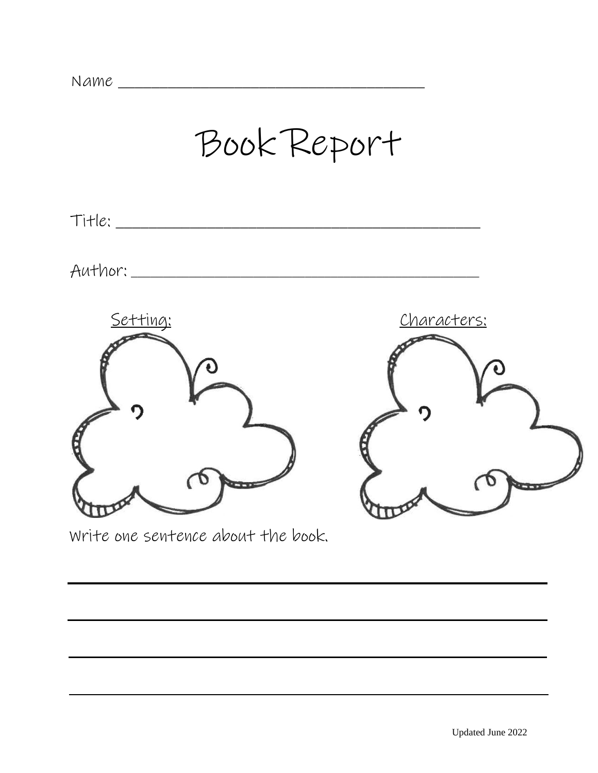

Write one sentence about the book.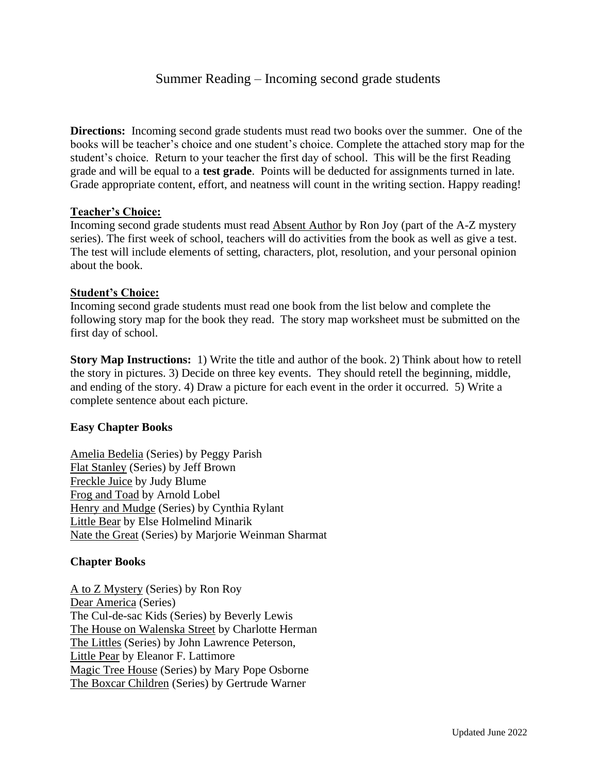## Summer Reading – Incoming second grade students

**Directions:** Incoming second grade students must read two books over the summer. One of the books will be teacher's choice and one student's choice. Complete the attached story map for the student's choice. Return to your teacher the first day of school. This will be the first Reading grade and will be equal to a **test grade**. Points will be deducted for assignments turned in late. Grade appropriate content, effort, and neatness will count in the writing section. Happy reading!

#### **Teacher's Choice:**

Incoming second grade students must read Absent Author by Ron Joy (part of the A-Z mystery series). The first week of school, teachers will do activities from the book as well as give a test. The test will include elements of setting, characters, plot, resolution, and your personal opinion about the book.

#### **Student's Choice:**

Incoming second grade students must read one book from the list below and complete the following story map for the book they read. The story map worksheet must be submitted on the first day of school.

**Story Map Instructions:** 1) Write the title and author of the book. 2) Think about how to retell the story in pictures. 3) Decide on three key events. They should retell the beginning, middle, and ending of the story. 4) Draw a picture for each event in the order it occurred. 5) Write a complete sentence about each picture.

#### **Easy Chapter Books**

Amelia Bedelia (Series) by Peggy Parish Flat Stanley (Series) by Jeff Brown Freckle Juice by Judy Blume Frog and Toad by Arnold Lobel Henry and Mudge (Series) by Cynthia Rylant Little Bear by Else Holmelind Minarik Nate the Great (Series) by Marjorie Weinman Sharmat

### **Chapter Books**

A to Z Mystery (Series) by Ron Roy Dear America (Series) The Cul-de-sac Kids (Series) by Beverly Lewis The House on Walenska Street by Charlotte Herman The Littles (Series) by John Lawrence Peterson, Little Pear by Eleanor F. Lattimore Magic Tree House (Series) by Mary Pope Osborne The Boxcar Children (Series) by Gertrude Warner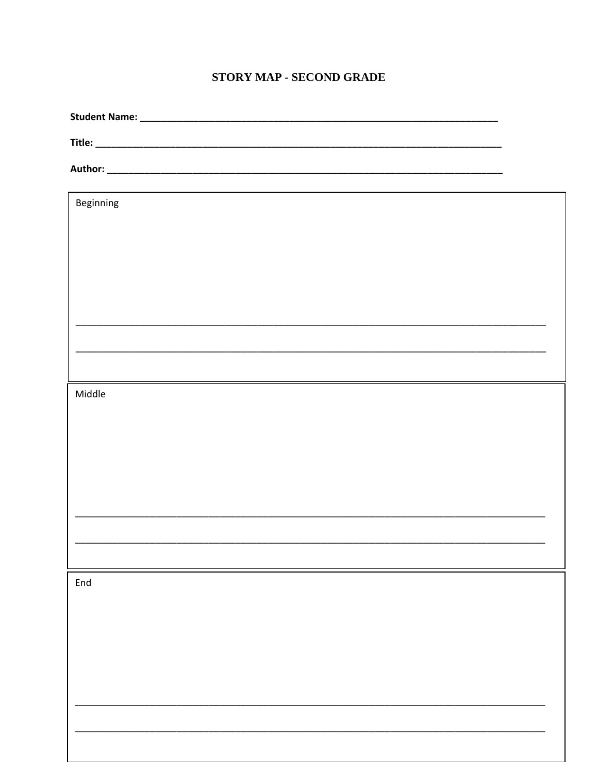## **STORY MAP - SECOND GRADE**

| ,我们也不会有什么。""我们的人,我们也不会有什么?""我们的人,我们也不会有什么?""我们的人,我们也不会有什么?""我们的人,我们也不会有什么?""我们的人 |  |
|----------------------------------------------------------------------------------|--|
| Beginning                                                                        |  |
|                                                                                  |  |
|                                                                                  |  |
|                                                                                  |  |
|                                                                                  |  |
|                                                                                  |  |
|                                                                                  |  |
|                                                                                  |  |
|                                                                                  |  |
| Middle                                                                           |  |
|                                                                                  |  |
|                                                                                  |  |
|                                                                                  |  |
|                                                                                  |  |
|                                                                                  |  |
|                                                                                  |  |
|                                                                                  |  |
| End                                                                              |  |
|                                                                                  |  |
|                                                                                  |  |
|                                                                                  |  |
|                                                                                  |  |
|                                                                                  |  |
|                                                                                  |  |
|                                                                                  |  |
|                                                                                  |  |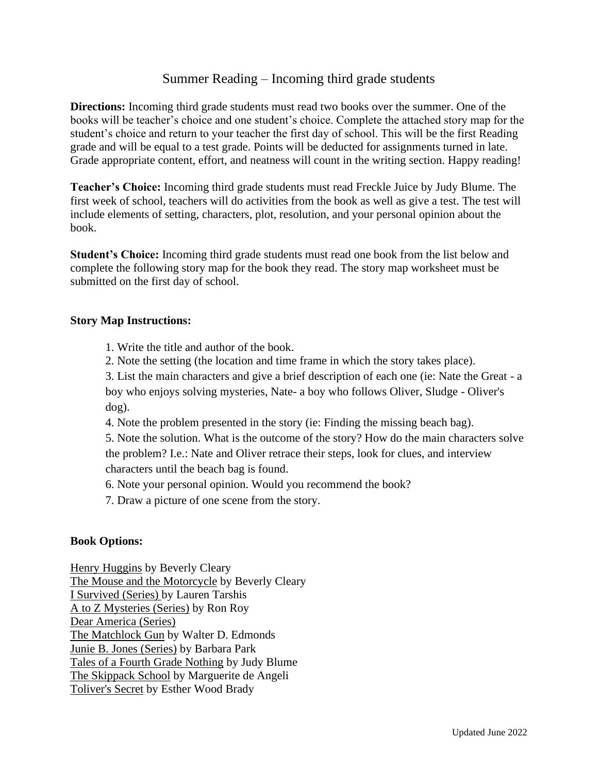## Summer Reading – Incoming third grade students

**Directions:** Incoming third grade students must read two books over the summer. One of the books will be teacher's choice and one student's choice. Complete the attached story map for the student's choice and return to your teacher the first day of school. This will be the first Reading grade and will be equal to a test grade. Points will be deducted for assignments turned in late. Grade appropriate content, effort, and neatness will count in the writing section. Happy reading!

**Teacher's Choice:** Incoming third grade students must read Freckle Juice by Judy Blume. The first week of school, teachers will do activities from the book as well as give a test. The test will include elements of setting, characters, plot, resolution, and your personal opinion about the book.

**Student's Choice:** Incoming third grade students must read one book from the list below and complete the following story map for the book they read. The story map worksheet must be submitted on the first day of school.

#### **Story Map Instructions:**

- 1. Write the title and author of the book.
- 2. Note the setting (the location and time frame in which the story takes place).

3. List the main characters and give a brief description of each one (ie: Nate the Great - a boy who enjoys solving mysteries, Nate- a boy who follows Oliver, Sludge - Oliver's dog).

4. Note the problem presented in the story (ie: Finding the missing beach bag).

5. Note the solution. What is the outcome of the story? How do the main characters solve the problem? I.e.: Nate and Oliver retrace their steps, look for clues, and interview characters until the beach bag is found.

6. Note your personal opinion. Would you recommend the book?

7. Draw a picture of one scene from the story.

#### **Book Options:**

Henry Huggins by Beverly Cleary The Mouse and the Motorcycle by Beverly Cleary I Survived (Series) by Lauren Tarshis A to Z Mysteries (Series) by Ron Roy Dear America (Series) The Matchlock Gun by Walter D. Edmonds Junie B. Jones (Series) by Barbara Park Tales of a Fourth Grade Nothing by Judy Blume The Skippack School by Marguerite de Angeli Toliver's Secret by Esther Wood Brady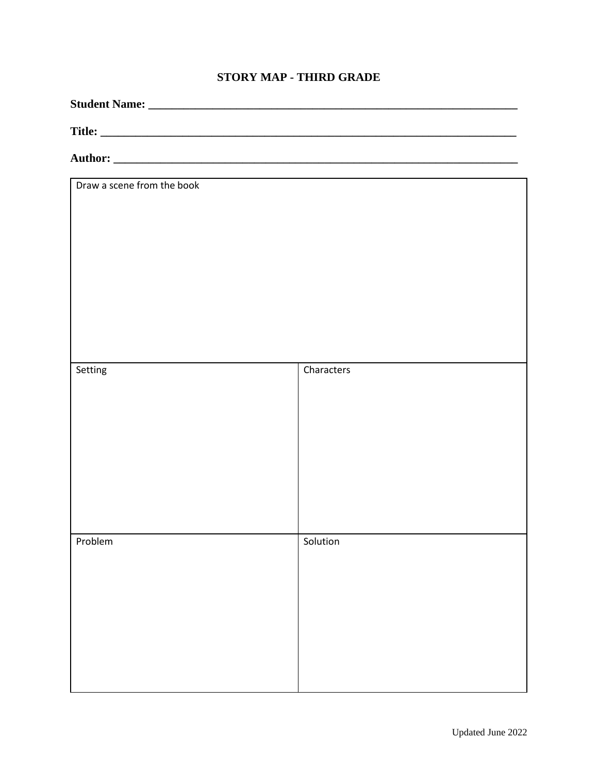## **STORY MAP - THIRD GRADE**

| Draw a scene from the book |            |  |
|----------------------------|------------|--|
|                            |            |  |
| Setting                    | Characters |  |
| Problem                    | Solution   |  |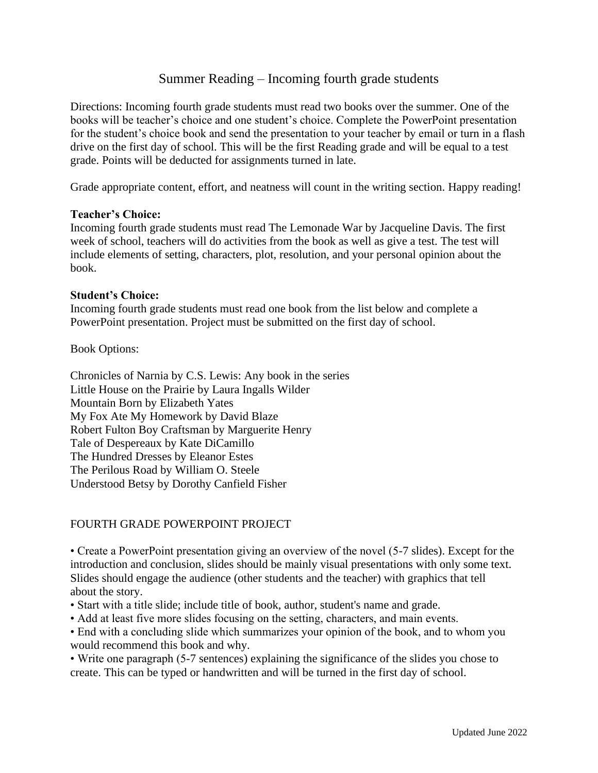## Summer Reading – Incoming fourth grade students

Directions: Incoming fourth grade students must read two books over the summer. One of the books will be teacher's choice and one student's choice. Complete the PowerPoint presentation for the student's choice book and send the presentation to your teacher by email or turn in a flash drive on the first day of school. This will be the first Reading grade and will be equal to a test grade. Points will be deducted for assignments turned in late.

Grade appropriate content, effort, and neatness will count in the writing section. Happy reading!

### **Teacher's Choice:**

Incoming fourth grade students must read The Lemonade War by Jacqueline Davis. The first week of school, teachers will do activities from the book as well as give a test. The test will include elements of setting, characters, plot, resolution, and your personal opinion about the book.

### **Student's Choice:**

Incoming fourth grade students must read one book from the list below and complete a PowerPoint presentation. Project must be submitted on the first day of school.

Book Options:

Chronicles of Narnia by C.S. Lewis: Any book in the series Little House on the Prairie by Laura Ingalls Wilder Mountain Born by Elizabeth Yates My Fox Ate My Homework by David Blaze Robert Fulton Boy Craftsman by Marguerite Henry Tale of Despereaux by Kate DiCamillo The Hundred Dresses by Eleanor Estes The Perilous Road by William O. Steele Understood Betsy by Dorothy Canfield Fisher

## FOURTH GRADE POWERPOINT PROJECT

• Create a PowerPoint presentation giving an overview of the novel (5-7 slides). Except for the introduction and conclusion, slides should be mainly visual presentations with only some text. Slides should engage the audience (other students and the teacher) with graphics that tell about the story.

- Start with a title slide; include title of book, author, student's name and grade.
- Add at least five more slides focusing on the setting, characters, and main events.

• End with a concluding slide which summarizes your opinion of the book, and to whom you would recommend this book and why.

• Write one paragraph (5-7 sentences) explaining the significance of the slides you chose to create. This can be typed or handwritten and will be turned in the first day of school.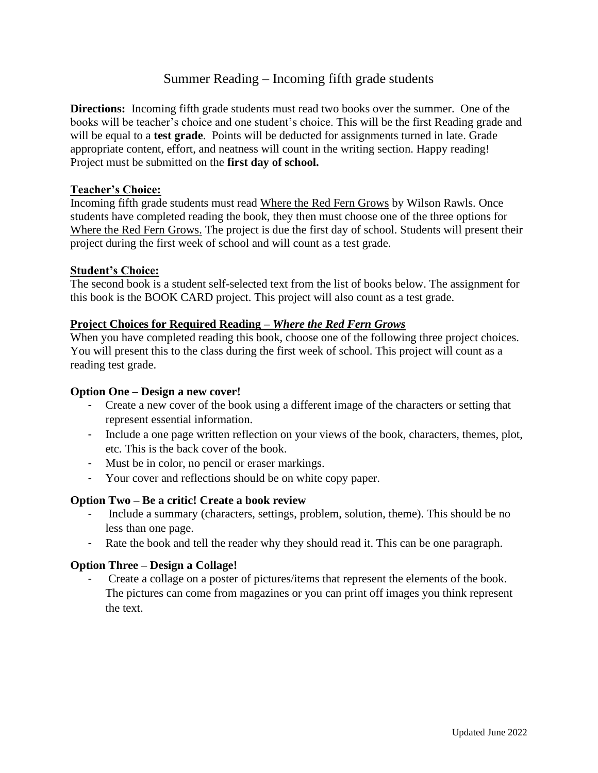## Summer Reading – Incoming fifth grade students

**Directions:** Incoming fifth grade students must read two books over the summer. One of the books will be teacher's choice and one student's choice. This will be the first Reading grade and will be equal to a **test grade**. Points will be deducted for assignments turned in late. Grade appropriate content, effort, and neatness will count in the writing section. Happy reading! Project must be submitted on the **first day of school.**

### **Teacher's Choice:**

Incoming fifth grade students must read Where the Red Fern Grows by Wilson Rawls. Once students have completed reading the book, they then must choose one of the three options for Where the Red Fern Grows. The project is due the first day of school. Students will present their project during the first week of school and will count as a test grade.

#### **Student's Choice:**

The second book is a student self-selected text from the list of books below. The assignment for this book is the BOOK CARD project. This project will also count as a test grade.

## **Project Choices for Required Reading –** *Where the Red Fern Grows*

When you have completed reading this book, choose one of the following three project choices. You will present this to the class during the first week of school. This project will count as a reading test grade.

#### **Option One – Design a new cover!**

- Create a new cover of the book using a different image of the characters or setting that represent essential information.
- Include a one page written reflection on your views of the book, characters, themes, plot, etc. This is the back cover of the book.
- Must be in color, no pencil or eraser markings.
- Your cover and reflections should be on white copy paper.

#### **Option Two – Be a critic! Create a book review**

- Include a summary (characters, settings, problem, solution, theme). This should be no less than one page.
- Rate the book and tell the reader why they should read it. This can be one paragraph.

#### **Option Three – Design a Collage!**

- Create a collage on a poster of pictures/items that represent the elements of the book. The pictures can come from magazines or you can print off images you think represent the text.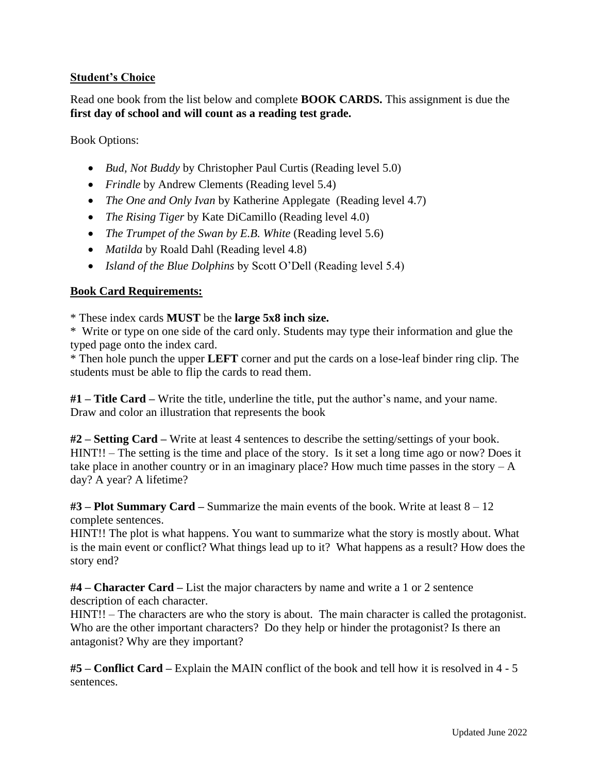## **Student's Choice**

Read one book from the list below and complete **BOOK CARDS.** This assignment is due the **first day of school and will count as a reading test grade.** 

Book Options:

- *Bud, Not Buddy* by Christopher Paul Curtis (Reading level 5.0)
- *Frindle* by Andrew Clements (Reading level 5.4)
- *The One and Only Ivan* by Katherine Applegate (Reading level 4.7)
- *The Rising Tiger* by Kate DiCamillo (Reading level 4.0)
- *The Trumpet of the Swan by E.B. White* (Reading level 5.6)
- *Matilda* by Roald Dahl (Reading level 4.8)
- *Island of the Blue Dolphins* by Scott O'Dell (Reading level 5.4)

## **Book Card Requirements:**

\* These index cards **MUST** be the **large 5x8 inch size.**

\* Write or type on one side of the card only. Students may type their information and glue the typed page onto the index card.

\* Then hole punch the upper **LEFT** corner and put the cards on a lose-leaf binder ring clip. The students must be able to flip the cards to read them.

**#1 – Title Card –** Write the title, underline the title, put the author's name, and your name. Draw and color an illustration that represents the book

**#2 – Setting Card –** Write at least 4 sentences to describe the setting/settings of your book. HINT!! – The setting is the time and place of the story. Is it set a long time ago or now? Does it take place in another country or in an imaginary place? How much time passes in the story  $-A$ day? A year? A lifetime?

**#3 – Plot Summary Card –** Summarize the main events of the book. Write at least 8 – 12 complete sentences.

HINT!! The plot is what happens. You want to summarize what the story is mostly about. What is the main event or conflict? What things lead up to it? What happens as a result? How does the story end?

**#4 – Character Card –** List the major characters by name and write a 1 or 2 sentence description of each character.

HINT!! – The characters are who the story is about. The main character is called the protagonist. Who are the other important characters? Do they help or hinder the protagonist? Is there an antagonist? Why are they important?

**#5 – Conflict Card –** Explain the MAIN conflict of the book and tell how it is resolved in 4 - 5 sentences.